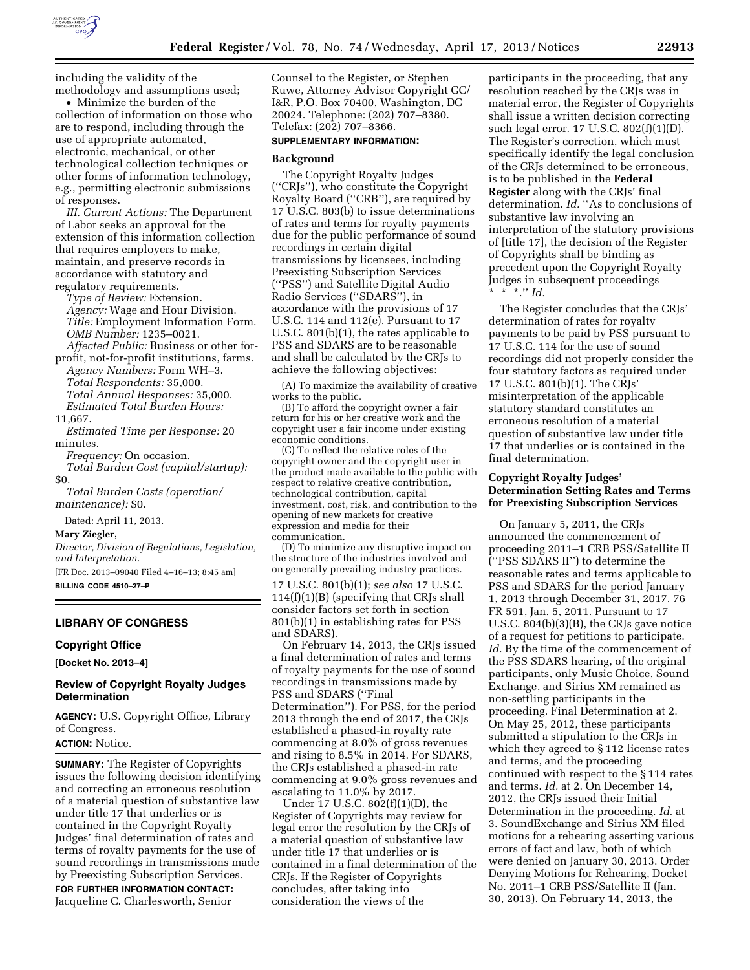

including the validity of the methodology and assumptions used;

• Minimize the burden of the collection of information on those who are to respond, including through the use of appropriate automated, electronic, mechanical, or other technological collection techniques or other forms of information technology, e.g., permitting electronic submissions of responses.

*III. Current Actions:* The Department of Labor seeks an approval for the extension of this information collection that requires employers to make, maintain, and preserve records in accordance with statutory and regulatory requirements.

*Type of Review:* Extension. *Agency:* Wage and Hour Division. *Title:* Employment Information Form. *OMB Number:* 1235–0021. *Affected Public:* Business or other for-

profit, not-for-profit institutions, farms.

*Agency Numbers:* Form WH–3. *Total Respondents:* 35,000. *Total Annual Responses:* 35,000.

*Estimated Total Burden Hours:* 

11,667.

*Estimated Time per Response:* 20 minutes.

*Frequency:* On occasion.

*Total Burden Cost (capital/startup):*  \$0.

*Total Burden Costs (operation/ maintenance):* \$0.

Dated: April 11, 2013.

### **Mary Ziegler,**

*Director, Division of Regulations, Legislation, and Interpretation.* 

[FR Doc. 2013–09040 Filed 4–16–13; 8:45 am] **BILLING CODE 4510–27–P** 

### **LIBRARY OF CONGRESS**

### **Copyright Office**

**[Docket No. 2013–4]** 

# **Review of Copyright Royalty Judges Determination**

**AGENCY:** U.S. Copyright Office, Library of Congress.

# **ACTION:** Notice.

**SUMMARY:** The Register of Copyrights issues the following decision identifying and correcting an erroneous resolution of a material question of substantive law under title 17 that underlies or is contained in the Copyright Royalty Judges' final determination of rates and terms of royalty payments for the use of sound recordings in transmissions made by Preexisting Subscription Services.

**FOR FURTHER INFORMATION CONTACT:**  Jacqueline C. Charlesworth, Senior

Counsel to the Register, or Stephen Ruwe, Attorney Advisor Copyright GC/ I&R, P.O. Box 70400, Washington, DC 20024. Telephone: (202) 707–8380. Telefax: (202) 707–8366.

# **SUPPLEMENTARY INFORMATION:**

# **Background**

The Copyright Royalty Judges (''CRJs''), who constitute the Copyright Royalty Board (''CRB''), are required by 17 U.S.C. 803(b) to issue determinations of rates and terms for royalty payments due for the public performance of sound recordings in certain digital transmissions by licensees, including Preexisting Subscription Services (''PSS'') and Satellite Digital Audio Radio Services (''SDARS''), in accordance with the provisions of 17 U.S.C. 114 and 112(e). Pursuant to 17 U.S.C. 801(b)(1), the rates applicable to PSS and SDARS are to be reasonable and shall be calculated by the CRJs to achieve the following objectives:

(A) To maximize the availability of creative works to the public.

(B) To afford the copyright owner a fair return for his or her creative work and the copyright user a fair income under existing economic conditions.

(C) To reflect the relative roles of the copyright owner and the copyright user in the product made available to the public with respect to relative creative contribution, technological contribution, capital investment, cost, risk, and contribution to the opening of new markets for creative expression and media for their communication.

(D) To minimize any disruptive impact on the structure of the industries involved and on generally prevailing industry practices.

17 U.S.C. 801(b)(1); *see also* 17 U.S.C. 114(f)(1)(B) (specifying that CRJs shall consider factors set forth in section 801(b)(1) in establishing rates for PSS and SDARS).

On February 14, 2013, the CRJs issued a final determination of rates and terms of royalty payments for the use of sound recordings in transmissions made by PSS and SDARS (''Final Determination''). For PSS, for the period 2013 through the end of 2017, the CRJs established a phased-in royalty rate commencing at 8.0% of gross revenues and rising to 8.5% in 2014. For SDARS, the CRJs established a phased-in rate commencing at 9.0% gross revenues and escalating to 11.0% by 2017.

Under 17 U.S.C. 802(f)(1)(D), the Register of Copyrights may review for legal error the resolution by the CRJs of a material question of substantive law under title 17 that underlies or is contained in a final determination of the CRJs. If the Register of Copyrights concludes, after taking into consideration the views of the

participants in the proceeding, that any resolution reached by the CRJs was in material error, the Register of Copyrights shall issue a written decision correcting such legal error. 17 U.S.C. 802(f)(1)(D). The Register's correction, which must specifically identify the legal conclusion of the CRJs determined to be erroneous, is to be published in the **Federal Register** along with the CRJs' final determination. *Id.* "As to conclusions of substantive law involving an interpretation of the statutory provisions of [title 17], the decision of the Register of Copyrights shall be binding as precedent upon the Copyright Royalty Judges in subsequent proceedings \* \* \*.'' *Id.* 

The Register concludes that the CRJs' determination of rates for royalty payments to be paid by PSS pursuant to 17 U.S.C. 114 for the use of sound recordings did not properly consider the four statutory factors as required under 17 U.S.C. 801(b)(1). The CRJs' misinterpretation of the applicable statutory standard constitutes an erroneous resolution of a material question of substantive law under title 17 that underlies or is contained in the final determination.

# **Copyright Royalty Judges' Determination Setting Rates and Terms for Preexisting Subscription Services**

On January 5, 2011, the CRJs announced the commencement of proceeding 2011–1 CRB PSS/Satellite II (''PSS SDARS II'') to determine the reasonable rates and terms applicable to PSS and SDARS for the period January 1, 2013 through December 31, 2017. 76 FR 591, Jan. 5, 2011. Pursuant to 17 U.S.C. 804(b)(3)(B), the CRJs gave notice of a request for petitions to participate. *Id.* By the time of the commencement of the PSS SDARS hearing, of the original participants, only Music Choice, Sound Exchange, and Sirius XM remained as non-settling participants in the proceeding. Final Determination at 2. On May 25, 2012, these participants submitted a stipulation to the CRJs in which they agreed to § 112 license rates and terms, and the proceeding continued with respect to the § 114 rates and terms. *Id.* at 2. On December 14, 2012, the CRJs issued their Initial Determination in the proceeding. *Id.* at 3. SoundExchange and Sirius XM filed motions for a rehearing asserting various errors of fact and law, both of which were denied on January 30, 2013. Order Denying Motions for Rehearing, Docket No. 2011–1 CRB PSS/Satellite II (Jan. 30, 2013). On February 14, 2013, the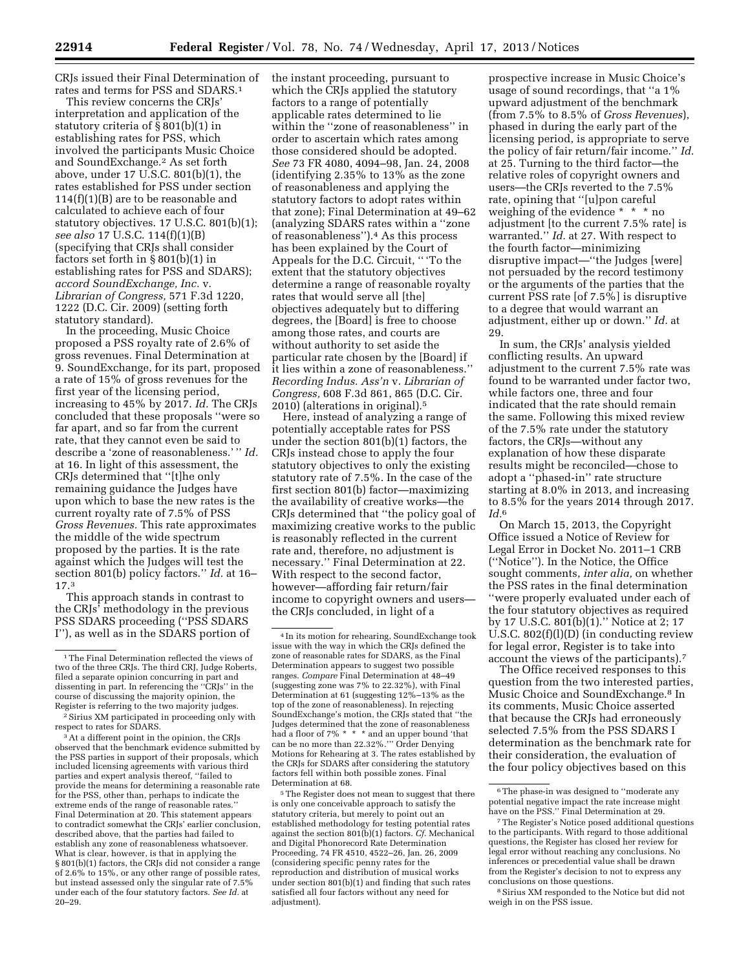CRJs issued their Final Determination of rates and terms for PSS and SDARS.1

This review concerns the CRJs' interpretation and application of the statutory criteria of § 801(b)(1) in establishing rates for PSS, which involved the participants Music Choice and SoundExchange.2 As set forth above, under 17 U.S.C. 801(b)(1), the rates established for PSS under section 114(f)(1)(B) are to be reasonable and calculated to achieve each of four statutory objectives. 17 U.S.C. 801(b)(1); *see also* 17 U.S.C. 114(f)(1)(B) (specifying that CRJs shall consider factors set forth in  $\S 801(b)(1)$  in establishing rates for PSS and SDARS); *accord SoundExchange, Inc.* v. *Librarian of Congress,* 571 F.3d 1220, 1222 (D.C. Cir. 2009) (setting forth statutory standard).

In the proceeding, Music Choice proposed a PSS royalty rate of 2.6% of gross revenues. Final Determination at 9. SoundExchange, for its part, proposed a rate of 15% of gross revenues for the first year of the licensing period, increasing to 45% by 2017. *Id.* The CRJs concluded that these proposals ''were so far apart, and so far from the current rate, that they cannot even be said to describe a 'zone of reasonableness.' '' *Id.*  at 16. In light of this assessment, the CRJs determined that ''[t]he only remaining guidance the Judges have upon which to base the new rates is the current royalty rate of 7.5% of PSS *Gross Revenues.* This rate approximates the middle of the wide spectrum proposed by the parties. It is the rate against which the Judges will test the section 801(b) policy factors.'' *Id.* at 16– 17.3

This approach stands in contrast to the CRJs' methodology in the previous PSS SDARS proceeding (''PSS SDARS I''), as well as in the SDARS portion of

3At a different point in the opinion, the CRJs observed that the benchmark evidence submitted by the PSS parties in support of their proposals, which included licensing agreements with various third parties and expert analysis thereof, ''failed to provide the means for determining a reasonable rate for the PSS, other than, perhaps to indicate the extreme ends of the range of reasonable rates.'' Final Determination at 20. This statement appears to contradict somewhat the CRJs' earlier conclusion, described above, that the parties had failed to establish any zone of reasonableness whatsoever. What is clear, however, is that in applying the § 801(b)(1) factors, the CRJs did not consider a range of 2.6% to 15%, or any other range of possible rates, but instead assessed only the singular rate of 7.5% under each of the four statutory factors. *See Id.* at 20–29.

the instant proceeding, pursuant to which the CRJs applied the statutory factors to a range of potentially applicable rates determined to lie within the ''zone of reasonableness'' in order to ascertain which rates among those considered should be adopted. *See* 73 FR 4080, 4094–98, Jan. 24, 2008 (identifying 2.35% to 13% as the zone of reasonableness and applying the statutory factors to adopt rates within that zone); Final Determination at 49–62 (analyzing SDARS rates within a ''zone of reasonableness'').4 As this process has been explained by the Court of Appeals for the D.C. Circuit, '' 'To the extent that the statutory objectives determine a range of reasonable royalty rates that would serve all [the] objectives adequately but to differing degrees, the [Board] is free to choose among those rates, and courts are without authority to set aside the particular rate chosen by the [Board] if it lies within a zone of reasonableness.'' *Recording Indus. Ass'n* v. *Librarian of Congress,* 608 F.3d 861, 865 (D.C. Cir. 2010) (alterations in original).5

Here, instead of analyzing a range of potentially acceptable rates for PSS under the section 801(b)(1) factors, the CRJs instead chose to apply the four statutory objectives to only the existing statutory rate of 7.5%. In the case of the first section 801(b) factor—maximizing the availability of creative works—the CRJs determined that ''the policy goal of maximizing creative works to the public is reasonably reflected in the current rate and, therefore, no adjustment is necessary.'' Final Determination at 22. With respect to the second factor, however—affording fair return/fair income to copyright owners and users the CRJs concluded, in light of a

<sup>5</sup>The Register does not mean to suggest that there is only one conceivable approach to satisfy the statutory criteria, but merely to point out an established methodology for testing potential rates against the section 801(b)(1) factors. *Cf.* Mechanical and Digital Phonorecord Rate Determination Proceeding, 74 FR 4510, 4522–26, Jan. 26, 2009 (considering specific penny rates for the reproduction and distribution of musical works under section 801(b)(1) and finding that such rates satisfied all four factors without any need for adjustment).

prospective increase in Music Choice's usage of sound recordings, that ''a 1% upward adjustment of the benchmark (from 7.5% to 8.5% of *Gross Revenues*), phased in during the early part of the licensing period, is appropriate to serve the policy of fair return/fair income.'' *Id.*  at 25. Turning to the third factor—the relative roles of copyright owners and users—the CRJs reverted to the 7.5% rate, opining that ''[u]pon careful weighing of the evidence \* \* \* no adjustment [to the current 7.5% rate] is warranted.'' *Id.* at 27. With respect to the fourth factor—minimizing disruptive impact—''the Judges [were] not persuaded by the record testimony or the arguments of the parties that the current PSS rate [of 7.5%] is disruptive to a degree that would warrant an adjustment, either up or down.'' *Id.* at 29.

In sum, the CRJs' analysis yielded conflicting results. An upward adjustment to the current 7.5% rate was found to be warranted under factor two, while factors one, three and four indicated that the rate should remain the same. Following this mixed review of the 7.5% rate under the statutory factors, the CRJs—without any explanation of how these disparate results might be reconciled—chose to adopt a ''phased-in'' rate structure starting at 8.0% in 2013, and increasing to 8.5% for the years 2014 through 2017. *Id.*6

On March 15, 2013, the Copyright Office issued a Notice of Review for Legal Error in Docket No. 2011–1 CRB (''Notice''). In the Notice, the Office sought comments, *inter alia,* on whether the PSS rates in the final determination ''were properly evaluated under each of the four statutory objectives as required by 17 U.S.C. 801(b)(1).'' Notice at 2; 17 U.S.C.  $802(f)(l)(D)$  (in conducting review for legal error, Register is to take into account the views of the participants).7

The Office received responses to this question from the two interested parties, Music Choice and SoundExchange.8 In its comments, Music Choice asserted that because the CRJs had erroneously selected 7.5% from the PSS SDARS I determination as the benchmark rate for their consideration, the evaluation of the four policy objectives based on this

8Sirius XM responded to the Notice but did not weigh in on the PSS issue.

 $^{\rm 1}\!$  The Final Determination reflected the views of two of the three CRJs. The third CRJ, Judge Roberts, filed a separate opinion concurring in part and dissenting in part. In referencing the ''CRJs'' in the course of discussing the majority opinion, the Register is referring to the two majority judges.

<sup>2</sup>Sirius XM participated in proceeding only with respect to rates for SDARS.

<sup>4</sup> In its motion for rehearing, SoundExchange took issue with the way in which the CRJs defined the zone of reasonable rates for SDARS, as the Final Determination appears to suggest two possible ranges. *Compare* Final Determination at 48–49 (suggesting zone was 7% to 22.32%), with Final Determination at 61 (suggesting 12%–13% as the top of the zone of reasonableness). In rejecting SoundExchange's motion, the CRJs stated that ''the Judges determined that the zone of reasonableness had a floor of 7% \* \* \* and an upper bound 'that can be no more than 22.32%.''' Order Denying Motions for Rehearing at 3. The rates established by the CRJs for SDARS after considering the statutory factors fell within both possible zones. Final Determination at 68.

<sup>6</sup>The phase-in was designed to ''moderate any potential negative impact the rate increase might have on the PSS.'' Final Determination at 29.

<sup>7</sup>The Register's Notice posed additional questions to the participants. With regard to those additional questions, the Register has closed her review for legal error without reaching any conclusions. No inferences or precedential value shall be drawn from the Register's decision to not to express any conclusions on those questions.